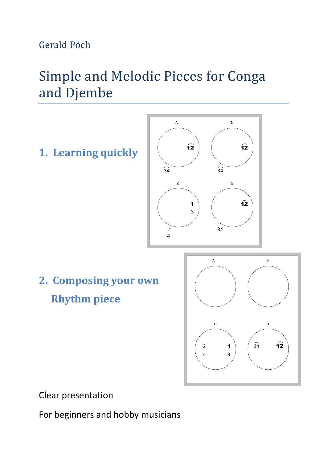Gerald Pöch

# Simple and Melodic Pieces for Conga and Djembe



Clear presentation

For beginners and hobby musicians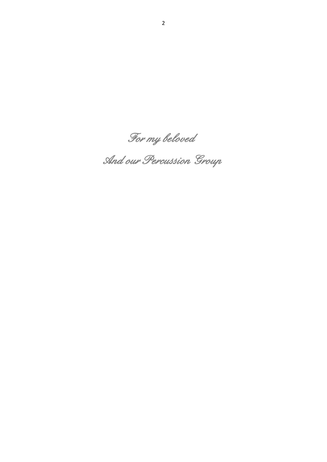*For my beloved* 

 *And our Percussion Group*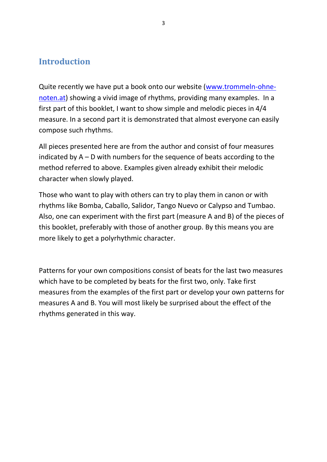### **Introduction**

Quite recently we have put a book onto our website [\(www.trommeln-ohne](http://www.trommeln-ohne-noten.at/)[noten.at\)](http://www.trommeln-ohne-noten.at/) showing a vivid image of rhythms, providing many examples. In a first part of this booklet, I want to show simple and melodic pieces in 4/4 measure. In a second part it is demonstrated that almost everyone can easily compose such rhythms.

All pieces presented here are from the author and consist of four measures indicated by A – D with numbers for the sequence of beats according to the method referred to above. Examples given already exhibit their melodic character when slowly played.

Those who want to play with others can try to play them in canon or with rhythms like Bomba, Caballo, Salidor, Tango Nuevo or Calypso and Tumbao. Also, one can experiment with the first part (measure A and B) of the pieces of this booklet, preferably with those of another group. By this means you are more likely to get a polyrhythmic character.

Patterns for your own compositions consist of beats for the last two measures which have to be completed by beats for the first two, only. Take first measures from the examples of the first part or develop your own patterns for measures A and B. You will most likely be surprised about the effect of the rhythms generated in this way.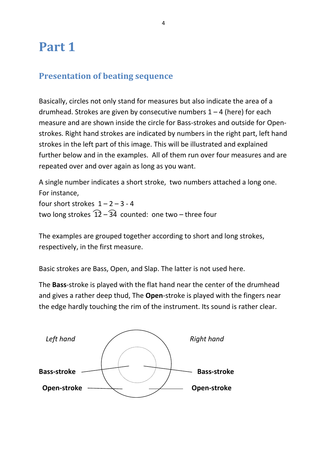# **Part 1**

### **Presentation of beating sequence**

Basically, circles not only stand for measures but also indicate the area of a drumhead. Strokes are given by consecutive numbers  $1 - 4$  (here) for each measure and are shown inside the circle for Bass-strokes and outside for Openstrokes. Right hand strokes are indicated by numbers in the right part, left hand strokes in the left part of this image. This will be illustrated and explained further below and in the examples. All of them run over four measures and are repeated over and over again as long as you want.

A single number indicates a short stroke, two numbers attached a long one. For instance, four short strokes  $1 - 2 - 3 - 4$ two long strokes  $\widehat{12} - \widehat{34}$  counted: one two – three four

The examples are grouped together according to short and long strokes, respectively, in the first measure.

Basic strokes are Bass, Open, and Slap. The latter is not used here.

The **Bass**-stroke is played with the flat hand near the center of the drumhead and gives a rather deep thud, The **Open**-stroke is played with the fingers near the edge hardly touching the rim of the instrument. Its sound is rather clear.

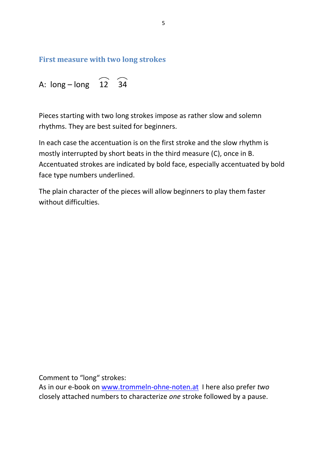**First measure with two long strokes**

A:  $\log - \log \quad \widehat{12} \quad \widehat{34}$ 

Pieces starting with two long strokes impose as rather slow and solemn rhythms. They are best suited for beginners.

In each case the accentuation is on the first stroke and the slow rhythm is mostly interrupted by short beats in the third measure (C), once in B. Accentuated strokes are indicated by bold face, especially accentuated by bold face type numbers underlined.

The plain character of the pieces will allow beginners to play them faster without difficulties.

Comment to "long" strokes:

As in our e-book on [www.trommeln-ohne-noten.at](http://www.trommeln-ohne-noten.at/) I here also prefer *two* closely attached numbers to characterize *one* stroke followed by a pause.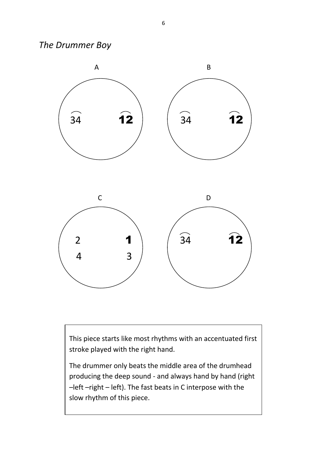*The Drummer Boy* 



This piece starts like most rhythms with an accentuated first stroke played with the right hand.

The drummer only beats the middle area of the drumhead producing the deep sound - and always hand by hand (right –left –right – left). The fast beats in C interpose with the slow rhythm of this piece.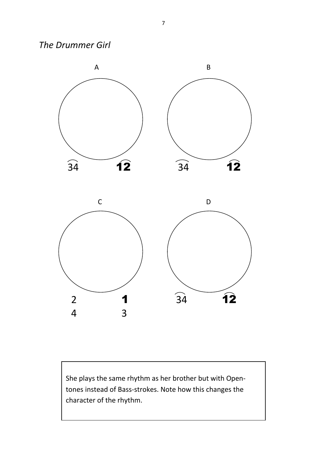*The Drummer Girl* 



She plays the same rhythm as her brother but with Opentones instead of Bass-strokes. Note how this changes the character of the rhythm.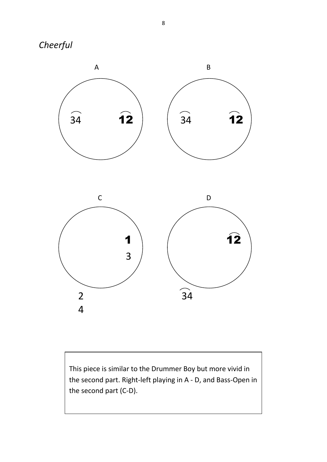



This piece is similar to the Drummer Boy but more vivid in the second part. Right-left playing in A - D, and Bass-Open in the second part (C-D).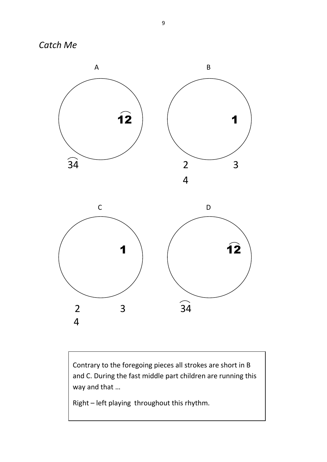*Catch Me* 



Contrary to the foregoing pieces all strokes are short in B and C. During the fast middle part children are running this way and that …

Right – left playing throughout this rhythm.

2 3 34

4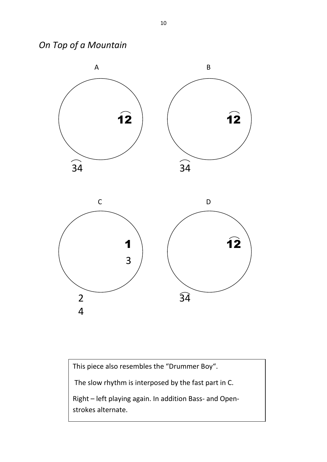*On Top of a Mountain* 



This piece also resembles the "Drummer Boy".

The slow rhythm is interposed by the fast part in C.

Right – left playing again. In addition Bass- and Openstrokes alternate.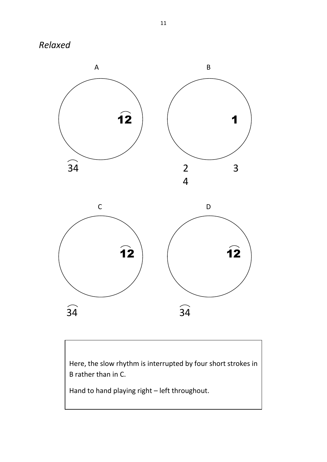



34 34

Here, the slow rhythm is interrupted by four short strokes in B rather than in C.

Hand to hand playing right – left throughout.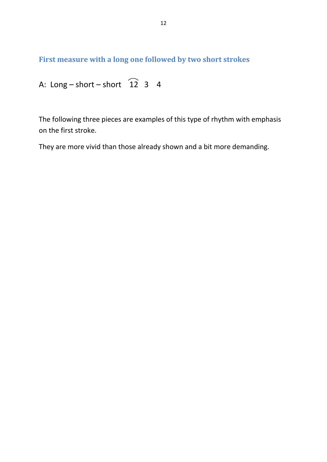**First measure with a long one followed by two short strokes**

A: Long – short – short 
$$
\widehat{12}
$$
 3 4

The following three pieces are examples of this type of rhythm with emphasis on the first stroke.

They are more vivid than those already shown and a bit more demanding.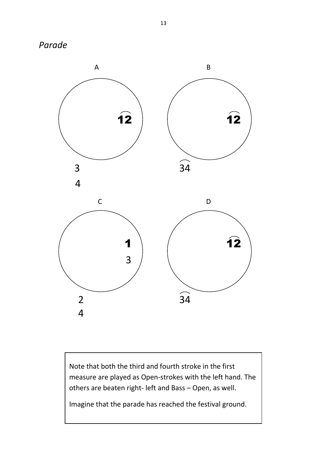*Parade* 



Note that both the third and fourth stroke in the first measure are played as Open-strokes with the left hand. The others are beaten right- left and Bass – Open, as well.

Imagine that the parade has reached the festival ground.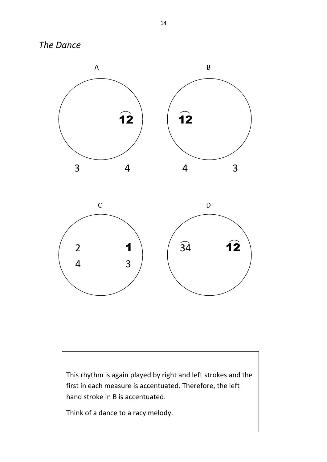*The Dance* 





This rhythm is again played by right and left strokes and the first in each measure is accentuated. Therefore, the left hand stroke in B is accentuated.

Think of a dance to a racy melody.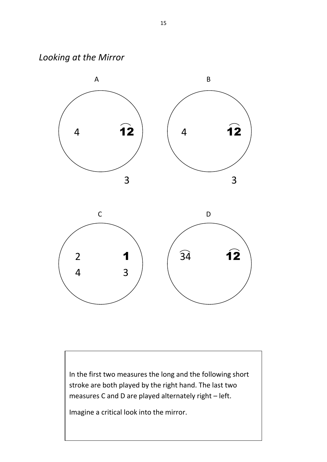*Looking at the Mirror* 



In the first two measures the long and the following short stroke are both played by the right hand. The last two measures C and D are played alternately right – left.

Imagine a critical look into the mirror.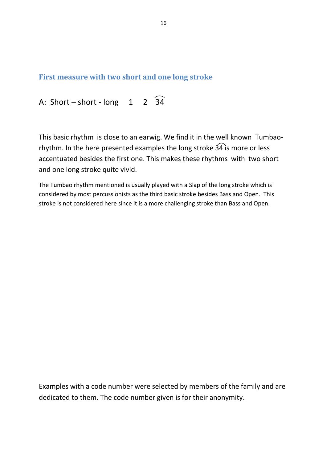#### **First measure with two short and one long stroke**

A: Short – short - long  $1$  2  $\widehat{34}$ 

This basic rhythm is close to an earwig. We find it in the well known Tumbaorhythm. In the here presented examples the long stroke  $\widehat{34}$  is more or less accentuated besides the first one. This makes these rhythms with two short and one long stroke quite vivid.

The Tumbao rhythm mentioned is usually played with a Slap of the long stroke which is considered by most percussionists as the third basic stroke besides Bass and Open. This stroke is not considered here since it is a more challenging stroke than Bass and Open.

Examples with a code number were selected by members of the family and are dedicated to them. The code number given is for their anonymity.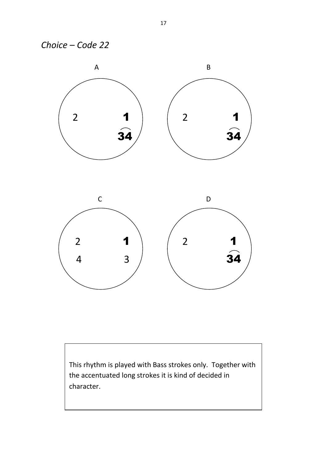



This rhythm is played with Bass strokes only. Together with the accentuated long strokes it is kind of decided in character.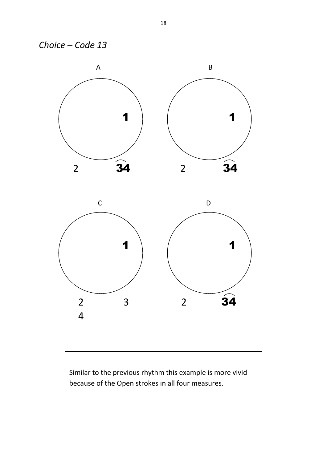



Similar to the previous rhythm this example is more vivid because of the Open strokes in all four measures.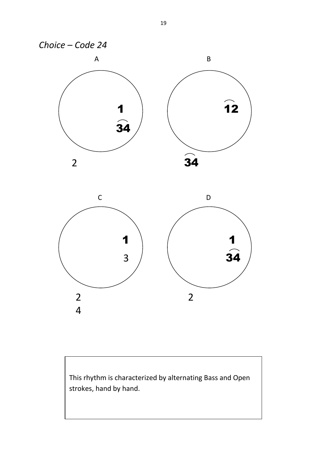

This rhythm is characterized by alternating Bass and Open strokes, hand by hand.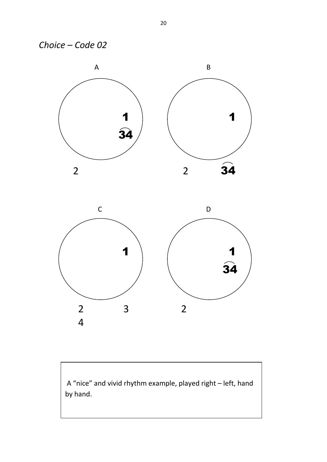



A "nice" and vivid rhythm example, played right – left, hand by hand.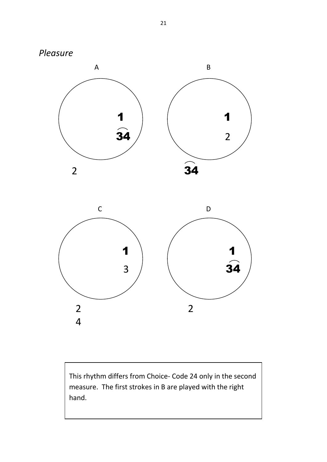



This rhythm differs from Choice- Code 24 only in the second measure. The first strokes in B are played with the right hand.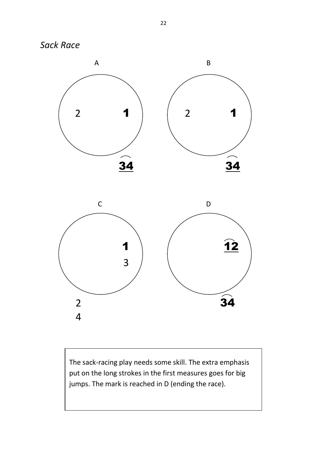*Sack Race*





The sack-racing play needs some skill. The extra emphasis put on the long strokes in the first measures goes for big jumps. The mark is reached in D (ending the race).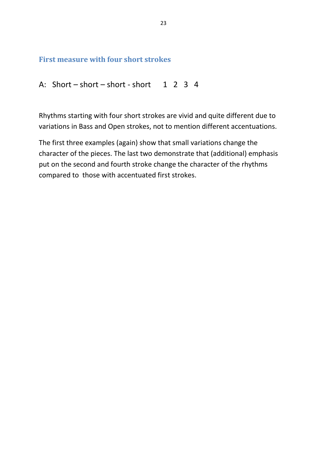#### **First measure with four short strokes**

```
A: Short – short – short - short 1 \t2 \t3 \t4
```
Rhythms starting with four short strokes are vivid and quite different due to variations in Bass and Open strokes, not to mention different accentuations.

The first three examples (again) show that small variations change the character of the pieces. The last two demonstrate that (additional) emphasis put on the second and fourth stroke change the character of the rhythms compared to those with accentuated first strokes.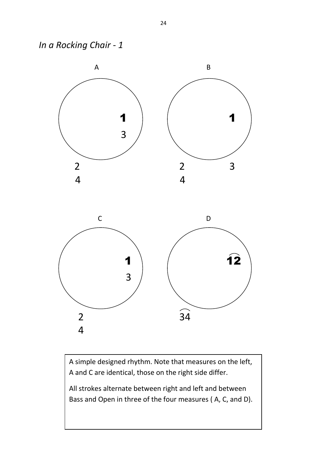*In a Rocking Chair - 1* 



A simple designed rhythm. Note that measures on the left, A and C are identical, those on the right side differ.

All strokes alternate between right and left and between Bass and Open in three of the four measures ( A, C, and D).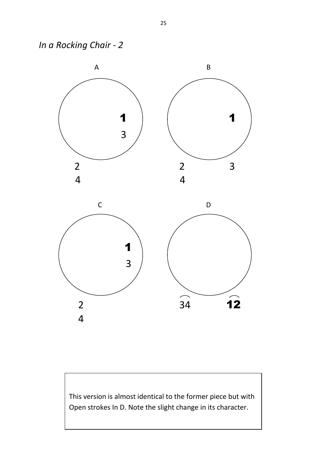*In a Rocking Chair - 2* 



This version is almost identical to the former piece but with Open strokes In D. Note the slight change in its character.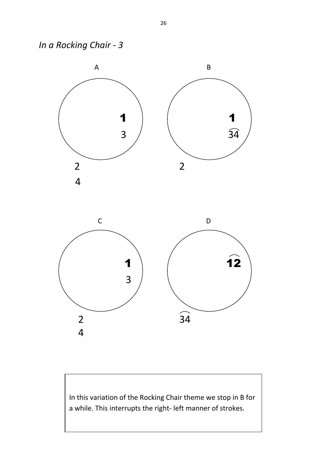*In a Rocking Chair - 3* 





In this variation of the Rocking Chair theme we stop in B for a while. This interrupts the right- left manner of strokes.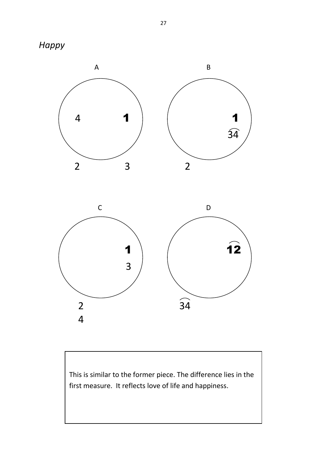





This is similar to the former piece. The difference lies in the first measure. It reflects love of life and happiness.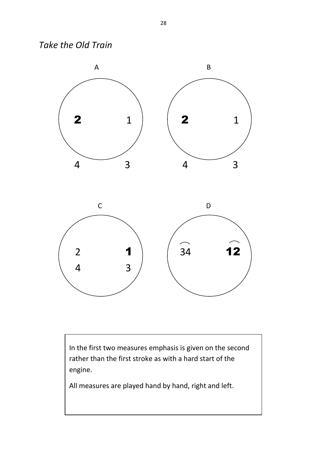*Take the Old Train* 



 In the first two measures emphasis is given on the second rather than the first stroke as with a hard start of the engine.

All measures are played hand by hand, right and left.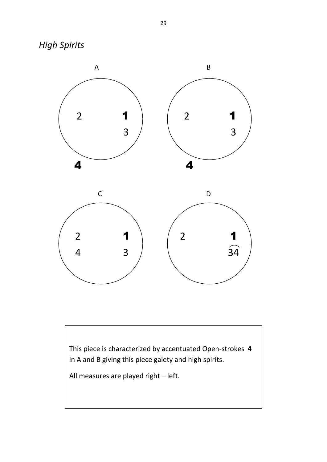*High Spirits* 



This piece is characterized by accentuated Open-strokes **4** in A and B giving this piece gaiety and high spirits.

All measures are played right – left.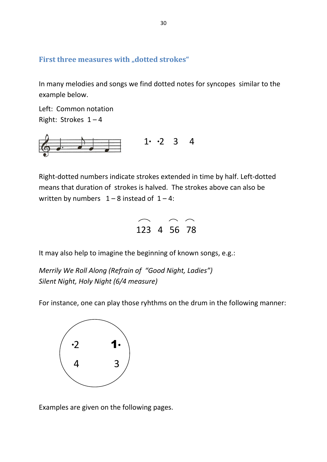#### First three measures with "dotted strokes"

In many melodies and songs we find dotted notes for syncopes similar to the example below.

Left: Common notation Right: Strokes  $1 - 4$ 



Right-dotted numbers indicate strokes extended in time by half. Left-dotted means that duration of strokes is halved. The strokes above can also be written by numbers  $1 - 8$  instead of  $1 - 4$ :



It may also help to imagine the beginning of known songs, e.g.:

*Merrily We Roll Along (Refrain of "Good Night, Ladies") Silent Night, Holy Night (6/4 measure)* 

For instance, one can play those ryhthms on the drum in the following manner:



Examples are given on the following pages.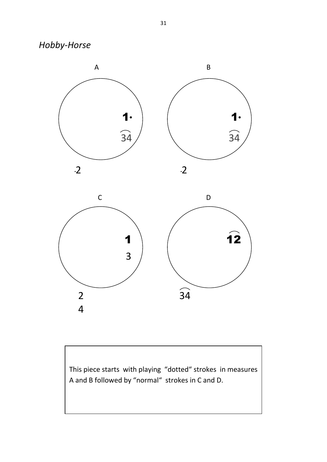*Hobby-Horse* 



This piece starts with playing "dotted" strokes in measures A and B followed by "normal" strokes in C and D.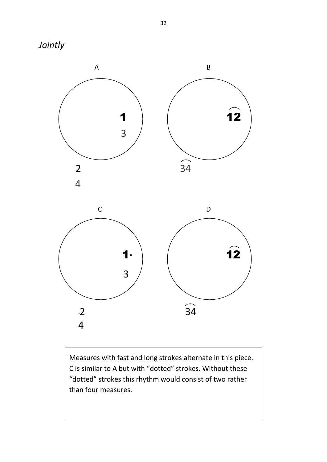



Measures with fast and long strokes alternate in this piece. C is similar to A but with "dotted" strokes. Without these "dotted" strokes this rhythm would consist of two rather than four measures.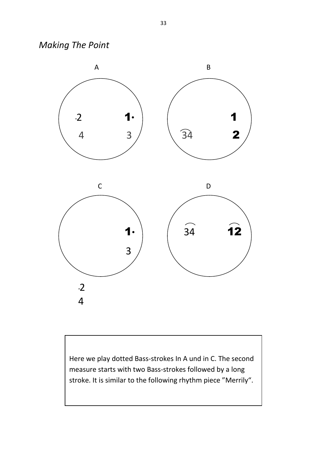*Making The Point* 



Here we play dotted Bass-strokes In A und in C. The second measure starts with two Bass-strokes followed by a long stroke. It is similar to the following rhythm piece "Merrily".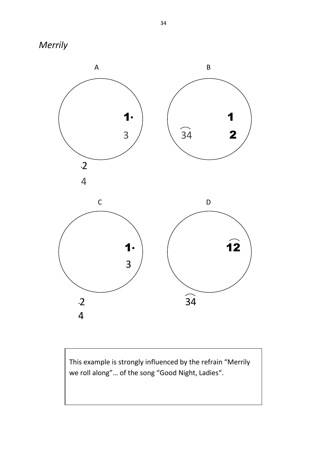



This example is strongly influenced by the refrain "Merrily we roll along"… of the song "Good Night, Ladies".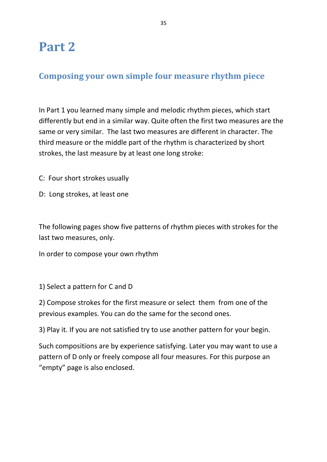# **Part 2**

## **Composing your own simple four measure rhythm piece**

In Part 1 you learned many simple and melodic rhythm pieces, which start differently but end in a similar way. Quite often the first two measures are the same or very similar. The last two measures are different in character. The third measure or the middle part of the rhythm is characterized by short strokes, the last measure by at least one long stroke:

- C: Four short strokes usually
- D: Long strokes, at least one

The following pages show five patterns of rhythm pieces with strokes for the last two measures, only.

In order to compose your own rhythm

1) Select a pattern for C and D

2) Compose strokes for the first measure or select them from one of the previous examples. You can do the same for the second ones.

3) Play it. If you are not satisfied try to use another pattern for your begin.

Such compositions are by experience satisfying. Later you may want to use a pattern of D only or freely compose all four measures. For this purpose an "empty" page is also enclosed.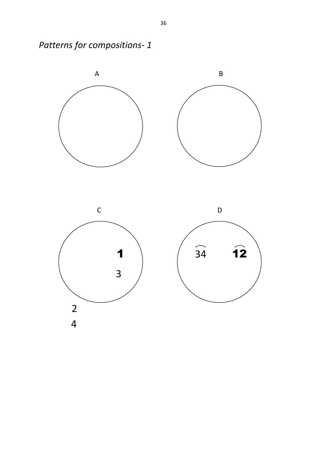

2

4

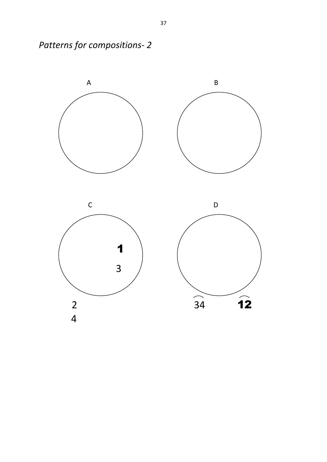

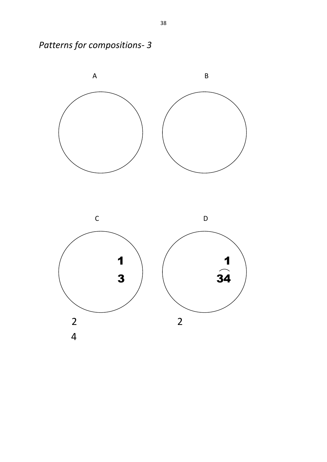

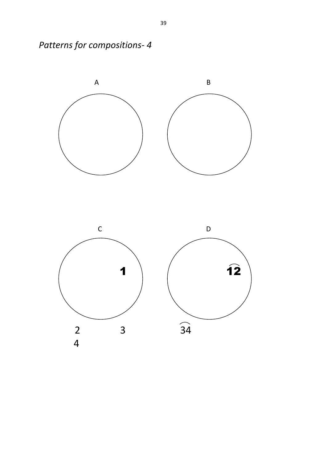

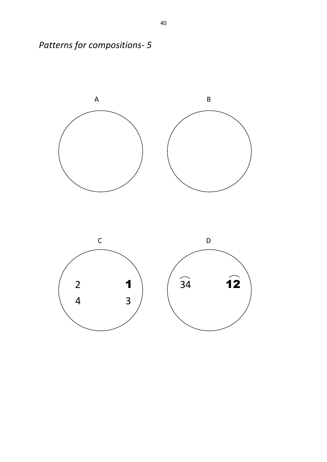